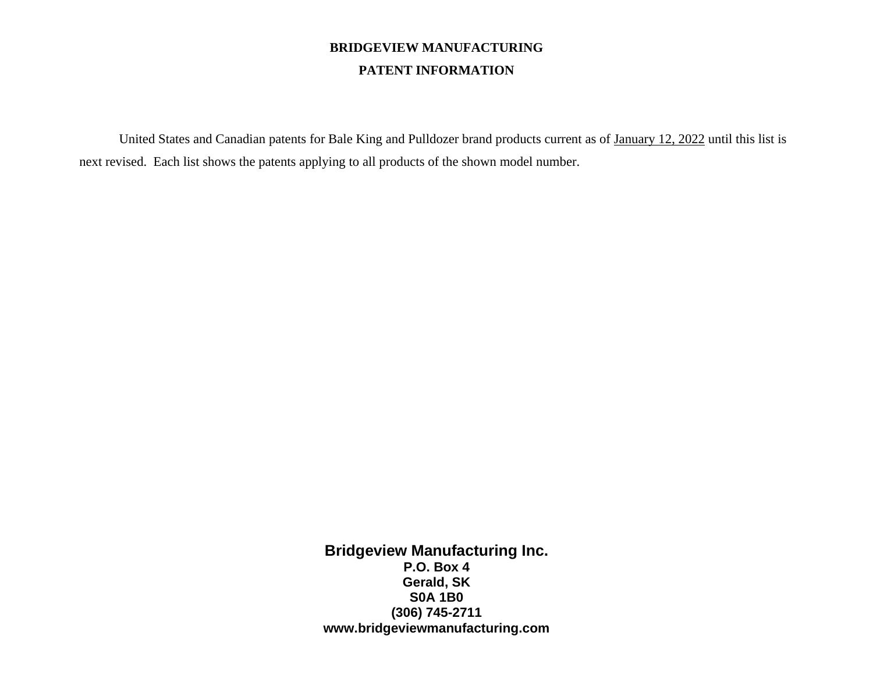## **BRIDGEVIEW MANUFACTURING PATENT INFORMATION**

United States and Canadian patents for Bale King and Pulldozer brand products current as of January 12, 2022 until this list is next revised. Each list shows the patents applying to all products of the shown model number.

> **Bridgeview Manufacturing Inc. P.O. Box 4 Gerald, SK S0A 1B0 (306) 745-2711 www.bridgeviewmanufacturing.com**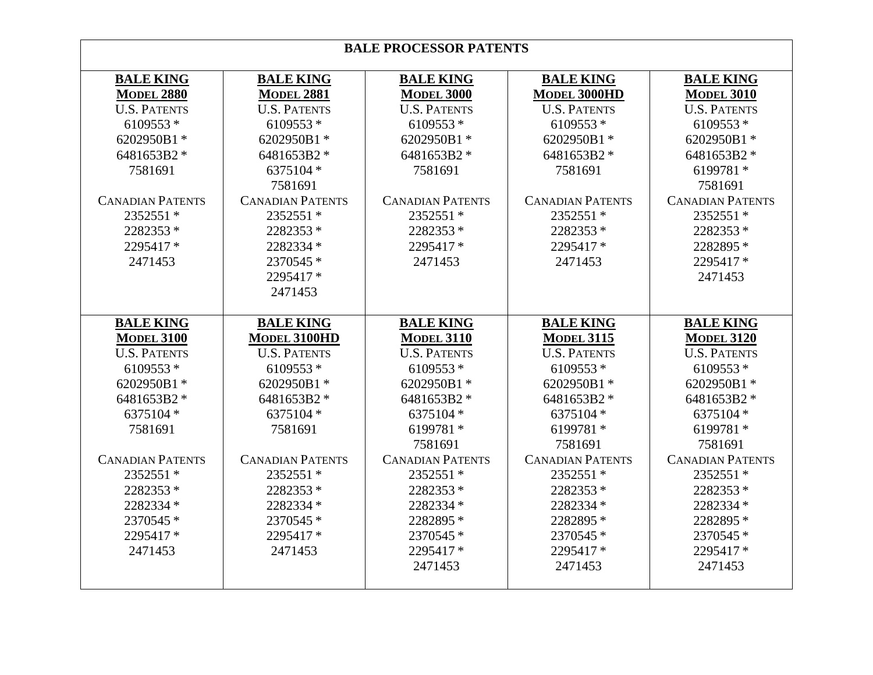| <b>BALE PROCESSOR PATENTS</b> |                         |                         |                         |                         |
|-------------------------------|-------------------------|-------------------------|-------------------------|-------------------------|
| <b>BALE KING</b>              | <b>BALE KING</b>        | <b>BALE KING</b>        | <b>BALE KING</b>        | <b>BALE KING</b>        |
| <b>MODEL 2880</b>             | <b>MODEL 2881</b>       | <b>MODEL 3000</b>       | <b>MODEL 3000HD</b>     | <b>MODEL 3010</b>       |
| <b>U.S. PATENTS</b>           | <b>U.S. PATENTS</b>     | <b>U.S. PATENTS</b>     | <b>U.S. PATENTS</b>     | <b>U.S. PATENTS</b>     |
| 6109553*                      | 6109553 *               | $6109553*$              | 6109553*                | 6109553*                |
| 6202950B1*                    | 6202950B1*              | 6202950B1*              | 6202950B1*              | 6202950B1*              |
| 6481653B2 *                   | 6481653B2 *             | 6481653B2 *             | 6481653B2 *             | 6481653B2 *             |
| 7581691                       | 6375104 *               | 7581691                 | 7581691                 | 6199781 *               |
|                               | 7581691<br>7581691      |                         |                         |                         |
| <b>CANADIAN PATENTS</b>       | <b>CANADIAN PATENTS</b> | <b>CANADIAN PATENTS</b> | <b>CANADIAN PATENTS</b> | <b>CANADIAN PATENTS</b> |
| 2352551 *                     | 2352551 *               | 2352551 *               | 2352551 *               | 2352551 *               |
| 2282353*                      | 2282353*                | 2282353*                | 2282353*                | 2282353*                |
| 2295417*                      | 2282334 *               | 2295417*                | 2295417*                | 2282895 *               |
| 2471453                       | 2370545 *               | 2471453                 | 2471453                 | 2295417*                |
|                               | 2295417*                |                         |                         | 2471453                 |
|                               | 2471453                 |                         |                         |                         |
|                               |                         |                         |                         |                         |
| <b>BALE KING</b>              | <b>BALE KING</b>        | <b>BALE KING</b>        | <b>BALE KING</b>        | <b>BALE KING</b>        |
| <b>MODEL 3100</b>             | MODEL 3100HD            | <b>MODEL 3110</b>       | <b>MODEL 3115</b>       | <b>MODEL 3120</b>       |
| <b>U.S. PATENTS</b>           | <b>U.S. PATENTS</b>     | <b>U.S. PATENTS</b>     | <b>U.S. PATENTS</b>     | <b>U.S. PATENTS</b>     |
| 6109553*                      | 6109553 *               | 6109553*                | 6109553*                | 6109553*                |
| 6202950B1*                    | 6202950B1*              | 6202950B1*              | 6202950B1*              | 6202950B1*              |
| 6481653B2 *                   | 6481653B2 *             | 6481653B2 *             | 6481653B2 *             | 6481653B2 *             |
| 6375104 *                     | 6375104 *               | 6375104 *               | 6375104 *               | 6375104 *               |
| 7581691                       | 7581691                 | 6199781 *               | 6199781*                | 6199781*                |
|                               |                         | 7581691                 | 7581691                 | 7581691                 |
| <b>CANADIAN PATENTS</b>       | <b>CANADIAN PATENTS</b> | <b>CANADIAN PATENTS</b> | <b>CANADIAN PATENTS</b> | <b>CANADIAN PATENTS</b> |
| 2352551 *                     | 2352551 *               | 2352551 *               | 2352551 *               | 2352551 *               |
| 2282353 *                     | 2282353*                | 2282353 *               | 2282353*                | 2282353 *               |
| 2282334 *                     | 2282334 *               | 2282334 *               | 2282334 *               | 2282334 *               |
|                               |                         |                         | 2282895 *               | 2282895 *               |
| 2370545 *                     | 2370545 *               | 2282895 *               |                         |                         |
| 2295417*                      | 2295417*                | 2370545 *               | 2370545 *               | 2370545 *               |
| 2471453                       | 2471453                 | 2295417*                | 2295417*                | 2295417*                |
|                               |                         | 2471453                 | 2471453                 | 2471453                 |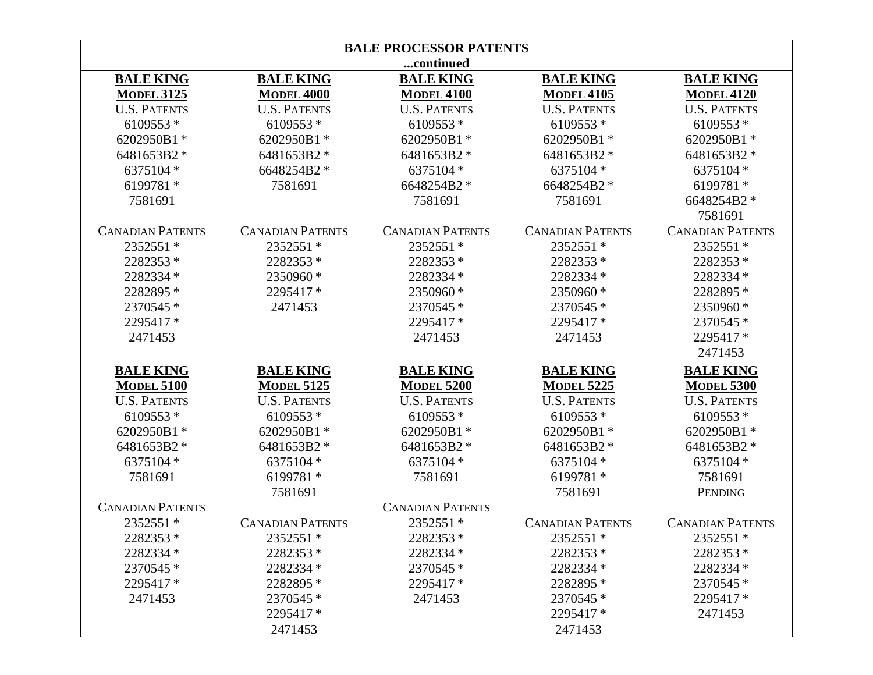| <b>BALE PROCESSOR PATENTS</b> |                         |                         |                         |                         |
|-------------------------------|-------------------------|-------------------------|-------------------------|-------------------------|
| continued                     |                         |                         |                         |                         |
| <b>BALE KING</b>              | <b>BALE KING</b>        | <b>BALE KING</b>        | <b>BALE KING</b>        | <b>BALE KING</b>        |
| <b>MODEL 3125</b>             | <b>MODEL 4000</b>       | <b>MODEL 4100</b>       | <b>MODEL 4105</b>       | <b>MODEL 4120</b>       |
| <b>U.S. PATENTS</b>           | <b>U.S. PATENTS</b>     | <b>U.S. PATENTS</b>     | <b>U.S. PATENTS</b>     | <b>U.S. PATENTS</b>     |
| 6109553 *                     | 6109553*                | 6109553*                | 6109553*                | 6109553*                |
| 6202950B1*                    | 6202950B1*              | 6202950B1*              | 6202950B1*              | 6202950B1*              |
| 6481653B2 *                   | 6481653B2 *             | 6481653B2 *             | 6481653B2 *             | 6481653B2 *             |
| 6375104 *                     | 6648254B2 *             | 6375104 *               | 6375104 *               | 6375104 *               |
| 6199781 *                     | 7581691                 | 6648254B2 *             | 6648254B2 *             | 6199781*                |
| 7581691                       |                         | 7581691                 | 7581691                 | 6648254B2 *             |
|                               |                         |                         |                         | 7581691                 |
| <b>CANADIAN PATENTS</b>       | <b>CANADIAN PATENTS</b> | <b>CANADIAN PATENTS</b> | <b>CANADIAN PATENTS</b> | <b>CANADIAN PATENTS</b> |
| 2352551 *                     | 2352551 *               | 2352551 *               | 2352551 *               | 2352551 *               |
| 2282353*                      | 2282353*                | 2282353*                | 2282353*                | 2282353*                |
| 2282334 *                     | 2350960 *               | 2282334 *               | 2282334 *               | 2282334 *               |
| 2282895 *                     | 2295417*                | 2350960 *               | 2350960*                | 2282895 *               |
| 2370545 *                     | 2471453                 | 2370545 *               | 2370545 *               | 2350960 *               |
| 2295417 *                     |                         | 2295417 *               | 2295417*                | 2370545 *               |
| 2471453                       |                         | 2471453                 | 2471453                 | 2295417*                |
|                               |                         |                         |                         | 2471453                 |
| <b>BALE KING</b>              | <b>BALE KING</b>        | <b>BALE KING</b>        | <b>BALE KING</b>        | <b>BALE KING</b>        |
| <b>MODEL 5100</b>             | <b>MODEL 5125</b>       | <b>MODEL 5200</b>       | <b>MODEL 5225</b>       | <b>MODEL 5300</b>       |
| <b>U.S. PATENTS</b>           | <b>U.S. PATENTS</b>     | <b>U.S. PATENTS</b>     | <b>U.S. PATENTS</b>     | <b>U.S. PATENTS</b>     |
| 6109553*                      | 6109553*                | 6109553*                | 6109553 *               | 6109553*                |
| 6202950B1*                    | 6202950B1*              | 6202950B1*              | 6202950B1*              | 6202950B1*              |
| 6481653B2 *                   | 6481653B2 *             | 6481653B2 *             | 6481653B2 *             | 6481653B2 *             |
| 6375104 *                     | 6375104 *               | 6375104 *               | 6375104 *               | 6375104 *               |
| 7581691                       | 6199781 *               | 7581691                 | 6199781 *               | 7581691                 |
|                               | 7581691                 |                         | 7581691                 | PENDING                 |
| <b>CANADIAN PATENTS</b>       |                         | <b>CANADIAN PATENTS</b> |                         |                         |
| 2352551 *                     | <b>CANADIAN PATENTS</b> | 2352551 *               | <b>CANADIAN PATENTS</b> | <b>CANADIAN PATENTS</b> |
| 2282353 *                     | 2352551 *               | 2282353 *               | 2352551 *               | 2352551 *               |
| 2282334 *                     | 2282353 *               | 2282334 *               | 2282353 *               | 2282353*                |
| 2370545 *                     | 2282334 *               | 2370545 *               | 2282334 *               | 2282334 *               |
| 2295417 *                     | 2282895 *               | 2295417 *               | 2282895 *               | 2370545 *               |
| 2471453                       | 2370545 *               | 2471453                 | 2370545 *               | 2295417*                |
|                               | 2295417 *               |                         | 2295417 *               | 2471453                 |
|                               | 2471453                 |                         | 2471453                 |                         |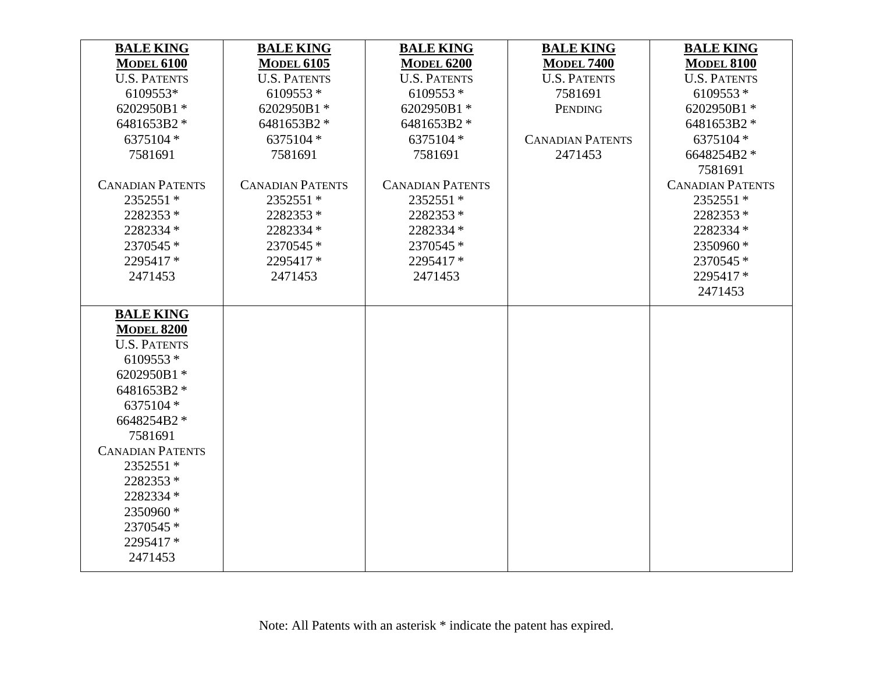| <b>BALE KING</b>        | <b>BALE KING</b>        | <b>BALE KING</b>        | <b>BALE KING</b>        | <b>BALE KING</b>        |
|-------------------------|-------------------------|-------------------------|-------------------------|-------------------------|
| <b>MODEL 6100</b>       | <b>MODEL 6105</b>       | <b>MODEL 6200</b>       | <b>MODEL 7400</b>       | <b>MODEL 8100</b>       |
| <b>U.S. PATENTS</b>     | <b>U.S. PATENTS</b>     | <b>U.S. PATENTS</b>     | <b>U.S. PATENTS</b>     | <b>U.S. PATENTS</b>     |
| 6109553*                | 6109553*                | 6109553*                | 7581691                 | 6109553 *               |
| 6202950B1*              | 6202950B1*              | 6202950B1*              | PENDING                 | 6202950B1*              |
| 6481653B2 *             | 6481653B2 *             | 6481653B2 *             |                         | 6481653B2 *             |
| 6375104 *               | 6375104 *               | 6375104 *               | <b>CANADIAN PATENTS</b> | 6375104 *               |
| 7581691                 | 7581691                 | 7581691                 | 2471453                 | 6648254B2 *             |
|                         |                         |                         |                         | 7581691                 |
| <b>CANADIAN PATENTS</b> | <b>CANADIAN PATENTS</b> | <b>CANADIAN PATENTS</b> |                         | <b>CANADIAN PATENTS</b> |
| 2352551 *               | 2352551 *               | 2352551 *               |                         | 2352551 *               |
| 2282353*                | 2282353*                | 2282353*                |                         | 2282353*                |
| 2282334 *               | 2282334 *               | 2282334 *               |                         | 2282334 *               |
| 2370545 *               | 2370545 *               | 2370545 *               |                         | 2350960*                |
| 2295417*                | 2295417*                | 2295417*                |                         | 2370545 *               |
| 2471453                 | 2471453                 | 2471453                 |                         | 2295417*                |
|                         |                         |                         |                         | 2471453                 |
| <b>BALE KING</b>        |                         |                         |                         |                         |
| <b>MODEL 8200</b>       |                         |                         |                         |                         |
| <b>U.S. PATENTS</b>     |                         |                         |                         |                         |
| 6109553*                |                         |                         |                         |                         |
| 6202950B1*              |                         |                         |                         |                         |
| 6481653B2 *             |                         |                         |                         |                         |
| 6375104 *               |                         |                         |                         |                         |
| 6648254B2 *             |                         |                         |                         |                         |
| 7581691                 |                         |                         |                         |                         |
| <b>CANADIAN PATENTS</b> |                         |                         |                         |                         |
| 2352551 *               |                         |                         |                         |                         |
| 2282353*                |                         |                         |                         |                         |
| 2282334 *               |                         |                         |                         |                         |
| 2350960*                |                         |                         |                         |                         |
| 2370545 *               |                         |                         |                         |                         |
| 2295417*                |                         |                         |                         |                         |
| 2471453                 |                         |                         |                         |                         |
|                         |                         |                         |                         |                         |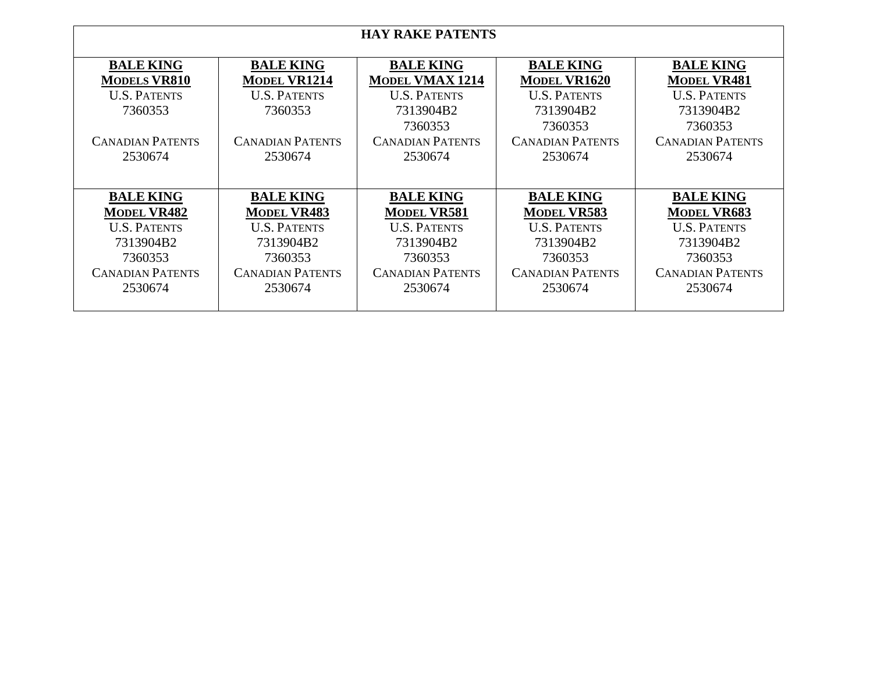| <b>HAY RAKE PATENTS</b>                                                                                                     |                                                                                                                             |                                                                                                                                 |                                                                                                                              |                                                                                                                             |
|-----------------------------------------------------------------------------------------------------------------------------|-----------------------------------------------------------------------------------------------------------------------------|---------------------------------------------------------------------------------------------------------------------------------|------------------------------------------------------------------------------------------------------------------------------|-----------------------------------------------------------------------------------------------------------------------------|
| <b>BALE KING</b><br><b>MODELS VR810</b><br><b>U.S. PATENTS</b><br>7360353<br><b>CANADIAN PATENTS</b><br>2530674             | <b>BALE KING</b><br><b>MODEL VR1214</b><br><b>U.S. PATENTS</b><br>7360353<br><b>CANADIAN PATENTS</b><br>2530674             | <b>BALE KING</b><br><b>MODEL VMAX 1214</b><br><b>U.S. PATENTS</b><br>7313904B2<br>7360353<br><b>CANADIAN PATENTS</b><br>2530674 | <b>BALE KING</b><br><b>MODEL VR1620</b><br><b>U.S. PATENTS</b><br>7313904B2<br>7360353<br><b>CANADIAN PATENTS</b><br>2530674 | <b>BALE KING</b><br><b>MODEL VR481</b><br><b>U.S. PATENTS</b><br>7313904B2<br>7360353<br><b>CANADIAN PATENTS</b><br>2530674 |
| <b>BALE KING</b><br><b>MODEL VR482</b><br><b>U.S. PATENTS</b><br>7313904B2<br>7360353<br><b>CANADIAN PATENTS</b><br>2530674 | <b>BALE KING</b><br><b>MODEL VR483</b><br><b>U.S. PATENTS</b><br>7313904B2<br>7360353<br><b>CANADIAN PATENTS</b><br>2530674 | <b>BALE KING</b><br><b>MODEL VR581</b><br><b>U.S. PATENTS</b><br>7313904B2<br>7360353<br><b>CANADIAN PATENTS</b><br>2530674     | <b>BALE KING</b><br><b>MODEL VR583</b><br><b>U.S. PATENTS</b><br>7313904B2<br>7360353<br><b>CANADIAN PATENTS</b><br>2530674  | <b>BALE KING</b><br><b>MODEL VR683</b><br><b>U.S. PATENTS</b><br>7313904B2<br>7360353<br><b>CANADIAN PATENTS</b><br>2530674 |